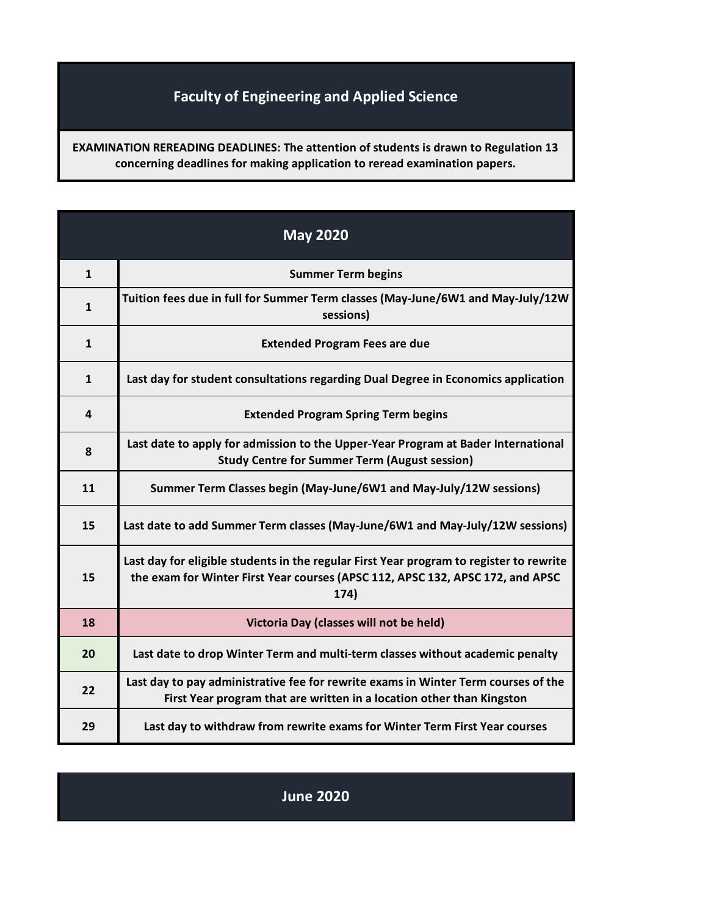## **Faculty of Engineering and Applied Science**

**EXAMINATION REREADING DEADLINES: The attention of students is drawn to Regulation 13 concerning deadlines for making application to reread examination papers.**

| <b>May 2020</b> |                                                                                                                                                                                   |
|-----------------|-----------------------------------------------------------------------------------------------------------------------------------------------------------------------------------|
| $\mathbf{1}$    | <b>Summer Term begins</b>                                                                                                                                                         |
| $\mathbf{1}$    | Tuition fees due in full for Summer Term classes (May-June/6W1 and May-July/12W<br>sessions)                                                                                      |
| $\mathbf{1}$    | <b>Extended Program Fees are due</b>                                                                                                                                              |
| $\mathbf{1}$    | Last day for student consultations regarding Dual Degree in Economics application                                                                                                 |
| 4               | <b>Extended Program Spring Term begins</b>                                                                                                                                        |
| 8               | Last date to apply for admission to the Upper-Year Program at Bader International<br><b>Study Centre for Summer Term (August session)</b>                                         |
| 11              | Summer Term Classes begin (May-June/6W1 and May-July/12W sessions)                                                                                                                |
| 15              | Last date to add Summer Term classes (May-June/6W1 and May-July/12W sessions)                                                                                                     |
| 15              | Last day for eligible students in the regular First Year program to register to rewrite<br>the exam for Winter First Year courses (APSC 112, APSC 132, APSC 172, and APSC<br>174) |
| 18              | Victoria Day (classes will not be held)                                                                                                                                           |
| 20              | Last date to drop Winter Term and multi-term classes without academic penalty                                                                                                     |
| 22              | Last day to pay administrative fee for rewrite exams in Winter Term courses of the<br>First Year program that are written in a location other than Kingston                       |
| 29              | Last day to withdraw from rewrite exams for Winter Term First Year courses                                                                                                        |

**June 2020**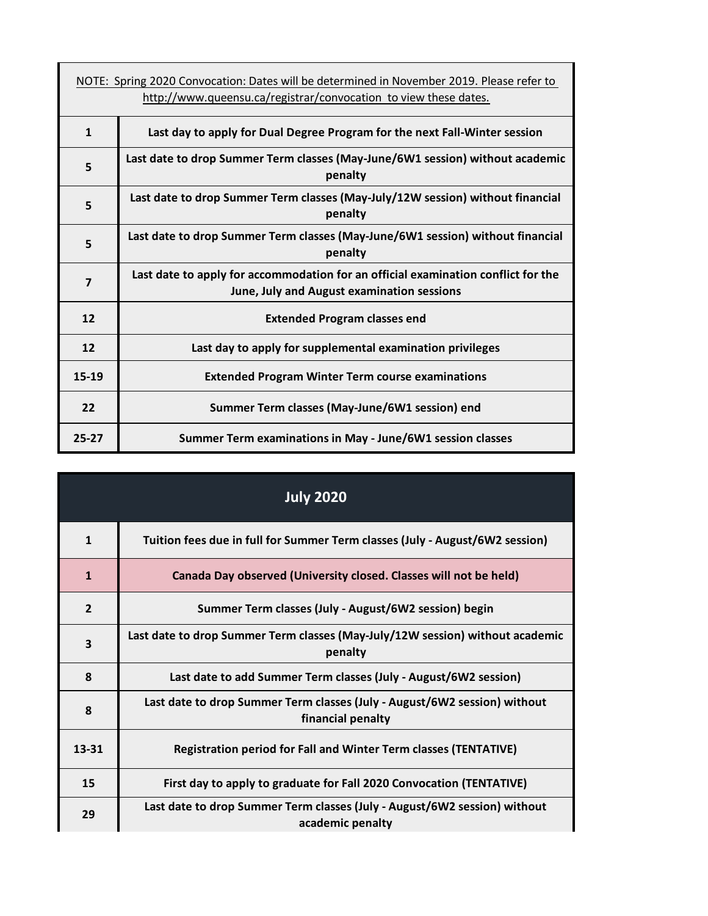| NOTE: Spring 2020 Convocation: Dates will be determined in November 2019. Please refer to<br>http://www.queensu.ca/registrar/convocation to view these dates. |                                                                                                                                 |
|---------------------------------------------------------------------------------------------------------------------------------------------------------------|---------------------------------------------------------------------------------------------------------------------------------|
| $\mathbf{1}$                                                                                                                                                  | Last day to apply for Dual Degree Program for the next Fall-Winter session                                                      |
| 5                                                                                                                                                             | Last date to drop Summer Term classes (May-June/6W1 session) without academic<br>penalty                                        |
| 5                                                                                                                                                             | Last date to drop Summer Term classes (May-July/12W session) without financial<br>penalty                                       |
| 5                                                                                                                                                             | Last date to drop Summer Term classes (May-June/6W1 session) without financial<br>penalty                                       |
| $\overline{7}$                                                                                                                                                | Last date to apply for accommodation for an official examination conflict for the<br>June, July and August examination sessions |
| 12                                                                                                                                                            | <b>Extended Program classes end</b>                                                                                             |
| 12                                                                                                                                                            | Last day to apply for supplemental examination privileges                                                                       |
| 15-19                                                                                                                                                         | <b>Extended Program Winter Term course examinations</b>                                                                         |
| 22                                                                                                                                                            | Summer Term classes (May-June/6W1 session) end                                                                                  |
| $25 - 27$                                                                                                                                                     | Summer Term examinations in May - June/6W1 session classes                                                                      |

| <b>July 2020</b> |                                                                                                |
|------------------|------------------------------------------------------------------------------------------------|
| $\mathbf{1}$     | Tuition fees due in full for Summer Term classes (July - August/6W2 session)                   |
| $\mathbf{1}$     | Canada Day observed (University closed. Classes will not be held)                              |
| $\overline{2}$   | Summer Term classes (July - August/6W2 session) begin                                          |
| 3                | Last date to drop Summer Term classes (May-July/12W session) without academic<br>penalty       |
| 8                | Last date to add Summer Term classes (July - August/6W2 session)                               |
| 8                | Last date to drop Summer Term classes (July - August/6W2 session) without<br>financial penalty |
| 13-31            | <b>Registration period for Fall and Winter Term classes (TENTATIVE)</b>                        |
| 15               | First day to apply to graduate for Fall 2020 Convocation (TENTATIVE)                           |
| 29               | Last date to drop Summer Term classes (July - August/6W2 session) without<br>academic penalty  |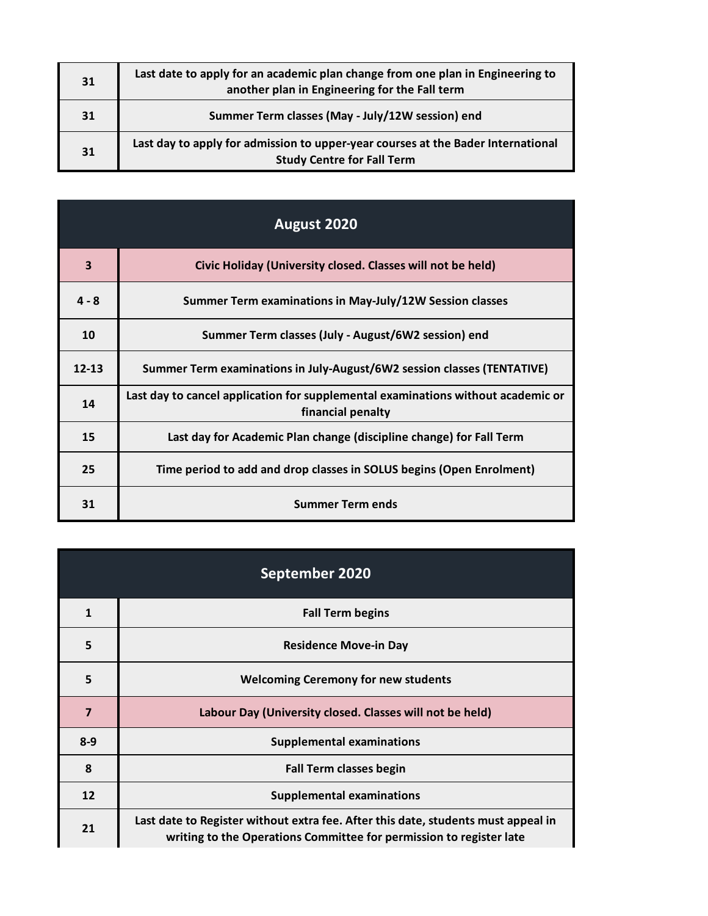| 31 | Last date to apply for an academic plan change from one plan in Engineering to<br>another plan in Engineering for the Fall term |
|----|---------------------------------------------------------------------------------------------------------------------------------|
| 31 | Summer Term classes (May - July/12W session) end                                                                                |
| 31 | Last day to apply for admission to upper-year courses at the Bader International<br><b>Study Centre for Fall Term</b>           |

| August 2020 |                                                                                                       |
|-------------|-------------------------------------------------------------------------------------------------------|
| 3           | Civic Holiday (University closed. Classes will not be held)                                           |
| $4 - 8$     | Summer Term examinations in May-July/12W Session classes                                              |
| 10          | Summer Term classes (July - August/6W2 session) end                                                   |
| $12 - 13$   | Summer Term examinations in July-August/6W2 session classes (TENTATIVE)                               |
| 14          | Last day to cancel application for supplemental examinations without academic or<br>financial penalty |
| 15          | Last day for Academic Plan change (discipline change) for Fall Term                                   |
| 25          | Time period to add and drop classes in SOLUS begins (Open Enrolment)                                  |
| 31          | <b>Summer Term ends</b>                                                                               |

| September 2020 |                                                                                                                                                          |
|----------------|----------------------------------------------------------------------------------------------------------------------------------------------------------|
| 1              | <b>Fall Term begins</b>                                                                                                                                  |
| 5              | <b>Residence Move-in Day</b>                                                                                                                             |
| 5              | <b>Welcoming Ceremony for new students</b>                                                                                                               |
| $\overline{7}$ | Labour Day (University closed. Classes will not be held)                                                                                                 |
| $8 - 9$        | <b>Supplemental examinations</b>                                                                                                                         |
| 8              | <b>Fall Term classes begin</b>                                                                                                                           |
| 12             | <b>Supplemental examinations</b>                                                                                                                         |
| 21             | Last date to Register without extra fee. After this date, students must appeal in<br>writing to the Operations Committee for permission to register late |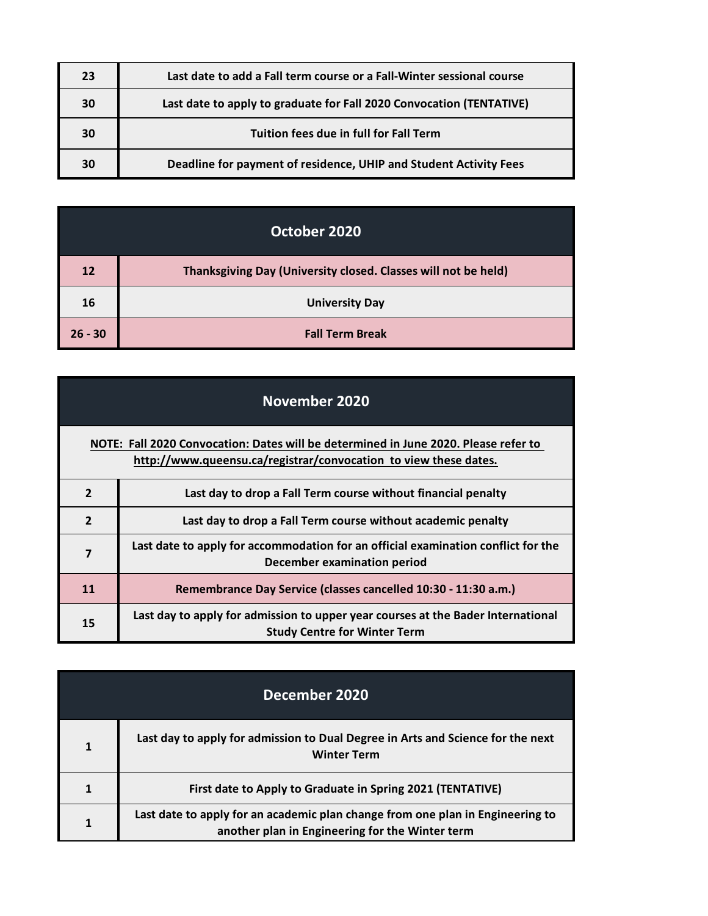| 23 | Last date to add a Fall term course or a Fall-Winter sessional course |
|----|-----------------------------------------------------------------------|
| 30 | Last date to apply to graduate for Fall 2020 Convocation (TENTATIVE)  |
| 30 | Tuition fees due in full for Fall Term                                |
| 30 | Deadline for payment of residence, UHIP and Student Activity Fees     |

| October 2020 |                                                                |
|--------------|----------------------------------------------------------------|
| $12$         | Thanksgiving Day (University closed. Classes will not be held) |
| 16           | <b>University Day</b>                                          |
| $26 - 30$    | <b>Fall Term Break</b>                                         |

| November 2020                                                                                                                                           |                                                                                                                         |
|---------------------------------------------------------------------------------------------------------------------------------------------------------|-------------------------------------------------------------------------------------------------------------------------|
| NOTE: Fall 2020 Convocation: Dates will be determined in June 2020. Please refer to<br>http://www.queensu.ca/registrar/convocation to view these dates. |                                                                                                                         |
| $\overline{2}$                                                                                                                                          | Last day to drop a Fall Term course without financial penalty                                                           |
| $\overline{2}$                                                                                                                                          | Last day to drop a Fall Term course without academic penalty                                                            |
| $\overline{7}$                                                                                                                                          | Last date to apply for accommodation for an official examination conflict for the<br><b>December examination period</b> |
| 11                                                                                                                                                      | Remembrance Day Service (classes cancelled 10:30 - 11:30 a.m.)                                                          |
| 15                                                                                                                                                      | Last day to apply for admission to upper year courses at the Bader International<br><b>Study Centre for Winter Term</b> |

| December 2020 |                                                                                                                                   |
|---------------|-----------------------------------------------------------------------------------------------------------------------------------|
|               | Last day to apply for admission to Dual Degree in Arts and Science for the next<br><b>Winter Term</b>                             |
|               | First date to Apply to Graduate in Spring 2021 (TENTATIVE)                                                                        |
|               | Last date to apply for an academic plan change from one plan in Engineering to<br>another plan in Engineering for the Winter term |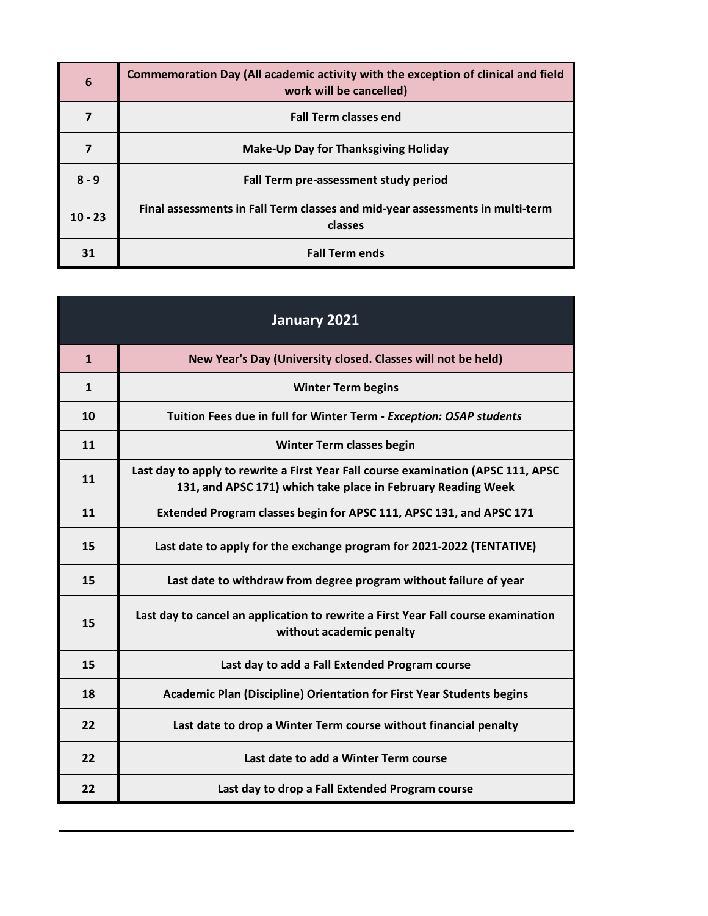| 6         | Commemoration Day (All academic activity with the exception of clinical and field<br>work will be cancelled) |
|-----------|--------------------------------------------------------------------------------------------------------------|
| 7         | <b>Fall Term classes end</b>                                                                                 |
| 7         | <b>Make-Up Day for Thanksgiving Holiday</b>                                                                  |
| $8 - 9$   | Fall Term pre-assessment study period                                                                        |
| $10 - 23$ | Final assessments in Fall Term classes and mid-year assessments in multi-term<br>classes                     |
| 31        | <b>Fall Term ends</b>                                                                                        |

L,

|              | January 2021                                                                                                                                      |
|--------------|---------------------------------------------------------------------------------------------------------------------------------------------------|
| $\mathbf{1}$ | New Year's Day (University closed. Classes will not be held)                                                                                      |
| $\mathbf{1}$ | <b>Winter Term begins</b>                                                                                                                         |
| 10           | Tuition Fees due in full for Winter Term - Exception: OSAP students                                                                               |
| 11           | <b>Winter Term classes begin</b>                                                                                                                  |
| 11           | Last day to apply to rewrite a First Year Fall course examination (APSC 111, APSC<br>131, and APSC 171) which take place in February Reading Week |
| 11           | Extended Program classes begin for APSC 111, APSC 131, and APSC 171                                                                               |
| 15           | Last date to apply for the exchange program for 2021-2022 (TENTATIVE)                                                                             |
| 15           | Last date to withdraw from degree program without failure of year                                                                                 |
| 15           | Last day to cancel an application to rewrite a First Year Fall course examination<br>without academic penalty                                     |
| 15           | Last day to add a Fall Extended Program course                                                                                                    |
| 18           | <b>Academic Plan (Discipline) Orientation for First Year Students begins</b>                                                                      |
| 22           | Last date to drop a Winter Term course without financial penalty                                                                                  |
| 22           | Last date to add a Winter Term course                                                                                                             |
| 22           | Last day to drop a Fall Extended Program course                                                                                                   |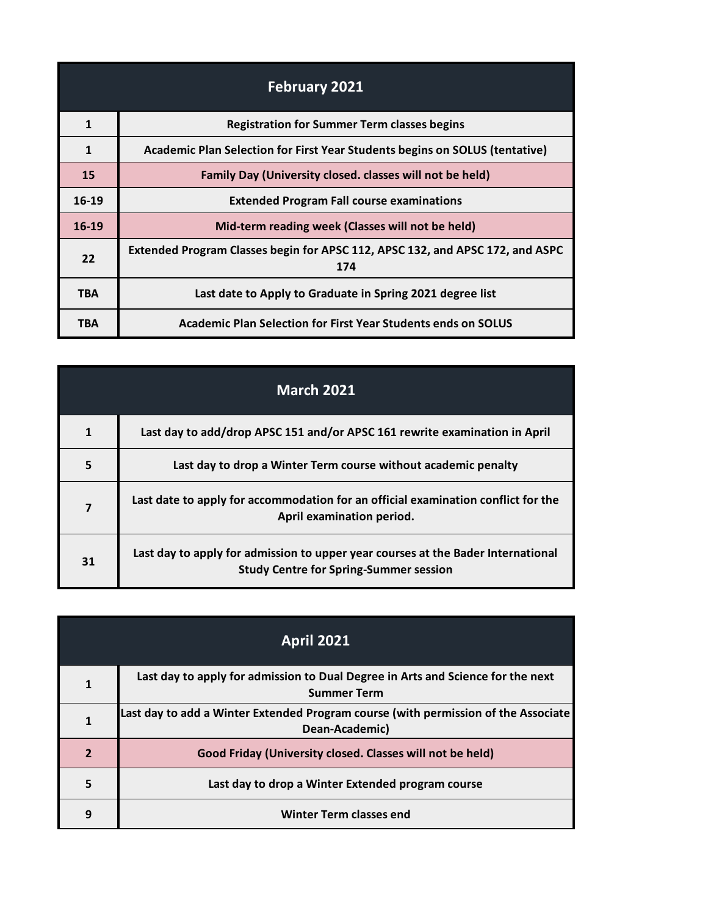| <b>February 2021</b> |                                                                                      |
|----------------------|--------------------------------------------------------------------------------------|
| $\mathbf{1}$         | <b>Registration for Summer Term classes begins</b>                                   |
| $\mathbf{1}$         | Academic Plan Selection for First Year Students begins on SOLUS (tentative)          |
| 15                   | Family Day (University closed. classes will not be held)                             |
| $16-19$              | <b>Extended Program Fall course examinations</b>                                     |
| 16-19                | Mid-term reading week (Classes will not be held)                                     |
| 22                   | Extended Program Classes begin for APSC 112, APSC 132, and APSC 172, and ASPC<br>174 |
| <b>TBA</b>           | Last date to Apply to Graduate in Spring 2021 degree list                            |
| <b>TBA</b>           | Academic Plan Selection for First Year Students ends on SOLUS                        |

| <b>March 2021</b> |                                                                                                                                   |
|-------------------|-----------------------------------------------------------------------------------------------------------------------------------|
| 1                 | Last day to add/drop APSC 151 and/or APSC 161 rewrite examination in April                                                        |
| 5                 | Last day to drop a Winter Term course without academic penalty                                                                    |
| 7                 | Last date to apply for accommodation for an official examination conflict for the<br>April examination period.                    |
| 31                | Last day to apply for admission to upper year courses at the Bader International<br><b>Study Centre for Spring-Summer session</b> |

| <b>April 2021</b> |                                                                                                       |
|-------------------|-------------------------------------------------------------------------------------------------------|
| 1                 | Last day to apply for admission to Dual Degree in Arts and Science for the next<br><b>Summer Term</b> |
|                   | Last day to add a Winter Extended Program course (with permission of the Associate<br>Dean-Academic)  |
| $\overline{2}$    | Good Friday (University closed. Classes will not be held)                                             |
| 5                 | Last day to drop a Winter Extended program course                                                     |
| 9                 | <b>Winter Term classes end</b>                                                                        |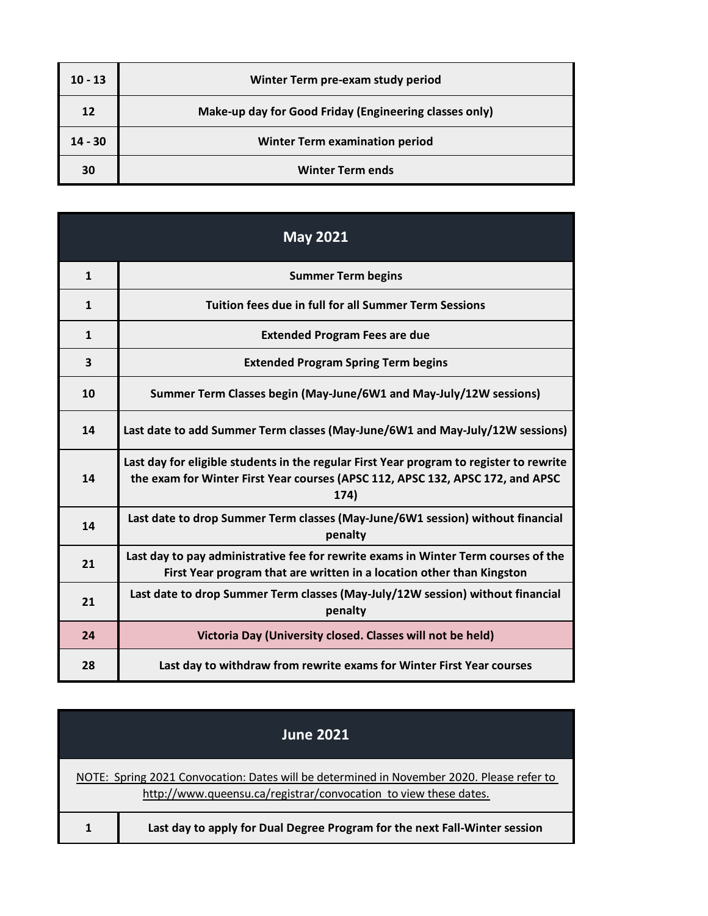| $10 - 13$ | Winter Term pre-exam study period                      |
|-----------|--------------------------------------------------------|
| 12        | Make-up day for Good Friday (Engineering classes only) |
| $14 - 30$ | <b>Winter Term examination period</b>                  |
| 30        | <b>Winter Term ends</b>                                |

| <b>May 2021</b>         |                                                                                                                                                                                   |
|-------------------------|-----------------------------------------------------------------------------------------------------------------------------------------------------------------------------------|
| $\mathbf{1}$            | <b>Summer Term begins</b>                                                                                                                                                         |
| $\mathbf{1}$            | Tuition fees due in full for all Summer Term Sessions                                                                                                                             |
| $\mathbf{1}$            | <b>Extended Program Fees are due</b>                                                                                                                                              |
| $\overline{\mathbf{3}}$ | <b>Extended Program Spring Term begins</b>                                                                                                                                        |
| 10                      | Summer Term Classes begin (May-June/6W1 and May-July/12W sessions)                                                                                                                |
| 14                      | Last date to add Summer Term classes (May-June/6W1 and May-July/12W sessions)                                                                                                     |
| 14                      | Last day for eligible students in the regular First Year program to register to rewrite<br>the exam for Winter First Year courses (APSC 112, APSC 132, APSC 172, and APSC<br>174) |
| $14$                    | Last date to drop Summer Term classes (May-June/6W1 session) without financial<br>penalty                                                                                         |
| 21                      | Last day to pay administrative fee for rewrite exams in Winter Term courses of the<br>First Year program that are written in a location other than Kingston                       |
| 21                      | Last date to drop Summer Term classes (May-July/12W session) without financial<br>penalty                                                                                         |
| 24                      | Victoria Day (University closed. Classes will not be held)                                                                                                                        |
| 28                      | Last day to withdraw from rewrite exams for Winter First Year courses                                                                                                             |

| <b>June 2021</b>                                                                                                                                              |
|---------------------------------------------------------------------------------------------------------------------------------------------------------------|
| NOTE: Spring 2021 Convocation: Dates will be determined in November 2020. Please refer to<br>http://www.queensu.ca/registrar/convocation to view these dates. |
| Last day to apply for Dual Degree Program for the next Fall-Winter session                                                                                    |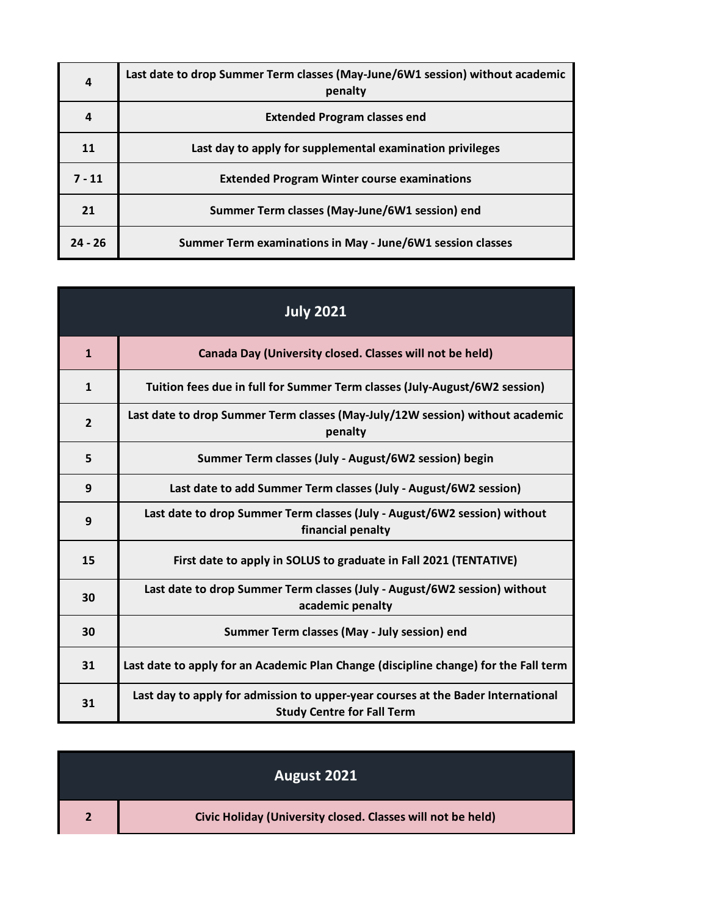| 4        | Last date to drop Summer Term classes (May-June/6W1 session) without academic<br>penalty |
|----------|------------------------------------------------------------------------------------------|
| 4        | <b>Extended Program classes end</b>                                                      |
| 11       | Last day to apply for supplemental examination privileges                                |
| $7 - 11$ | <b>Extended Program Winter course examinations</b>                                       |
| 21       | Summer Term classes (May-June/6W1 session) end                                           |
| 24 - 26  | Summer Term examinations in May - June/6W1 session classes                               |

| <b>July 2021</b> |                                                                                                                       |
|------------------|-----------------------------------------------------------------------------------------------------------------------|
| $\mathbf{1}$     | Canada Day (University closed. Classes will not be held)                                                              |
| $\mathbf{1}$     | Tuition fees due in full for Summer Term classes (July-August/6W2 session)                                            |
| $\overline{2}$   | Last date to drop Summer Term classes (May-July/12W session) without academic<br>penalty                              |
| 5                | Summer Term classes (July - August/6W2 session) begin                                                                 |
| 9                | Last date to add Summer Term classes (July - August/6W2 session)                                                      |
| 9                | Last date to drop Summer Term classes (July - August/6W2 session) without<br>financial penalty                        |
| 15               | First date to apply in SOLUS to graduate in Fall 2021 (TENTATIVE)                                                     |
| 30               | Last date to drop Summer Term classes (July - August/6W2 session) without<br>academic penalty                         |
| 30               | Summer Term classes (May - July session) end                                                                          |
| 31               | Last date to apply for an Academic Plan Change (discipline change) for the Fall term                                  |
| 31               | Last day to apply for admission to upper-year courses at the Bader International<br><b>Study Centre for Fall Term</b> |

| August 2021                                                 |
|-------------------------------------------------------------|
| Civic Holiday (University closed. Classes will not be held) |